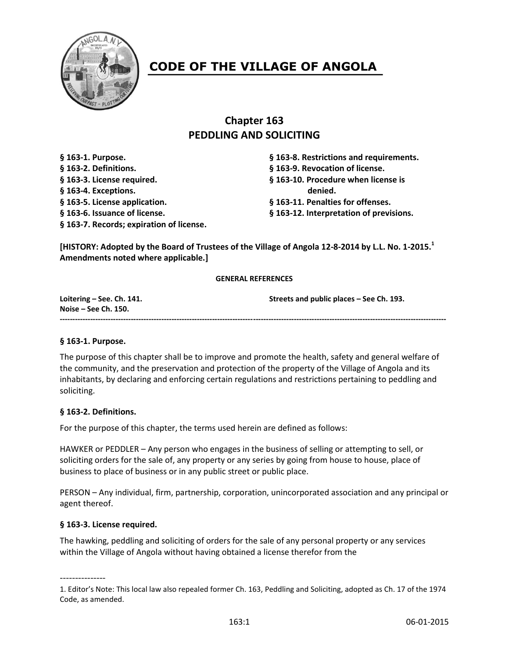

# **CODE OF THE VILLAGE OF ANGOLA**

# **Chapter 163 PEDDLING AND SOLICITING**

**§ 163-2. Definitions. § 163-9. Revocation of license. § 163-3. License required. § 163-10. Procedure when license is § 163-4. Exceptions. denied. § 163-5. License application. § 163-11. Penalties for offenses. § 163-6. Issuance of license. § 163-12. Interpretation of previsions. § 163-7. Records; expiration of license.**

**§ 163-1. Purpose. § 163-8. Restrictions and requirements.**

**[HISTORY: Adopted by the Board of Trustees of the Village of Angola 12-8-2014 by L.L. No. 1-2015.<sup>1</sup> Amendments noted where applicable.]**

#### **GENERAL REFERENCES**

**Loitering – See. Ch. 141. Streets and public places – See Ch. 193. Noise – See Ch. 150. --------------------------------------------------------------------------------------------------------------------------------------------------------**

#### **§ 163-1. Purpose.**

The purpose of this chapter shall be to improve and promote the health, safety and general welfare of the community, and the preservation and protection of the property of the Village of Angola and its inhabitants, by declaring and enforcing certain regulations and restrictions pertaining to peddling and soliciting.

#### **§ 163-2. Definitions.**

For the purpose of this chapter, the terms used herein are defined as follows:

HAWKER or PEDDLER – Any person who engages in the business of selling or attempting to sell, or soliciting orders for the sale of, any property or any series by going from house to house, place of business to place of business or in any public street or public place.

PERSON – Any individual, firm, partnership, corporation, unincorporated association and any principal or agent thereof.

#### **§ 163-3. License required.**

The hawking, peddling and soliciting of orders for the sale of any personal property or any services within the Village of Angola without having obtained a license therefor from the

---------------

<sup>1.</sup> Editor's Note: This local law also repealed former Ch. 163, Peddling and Soliciting, adopted as Ch. 17 of the 1974 Code, as amended.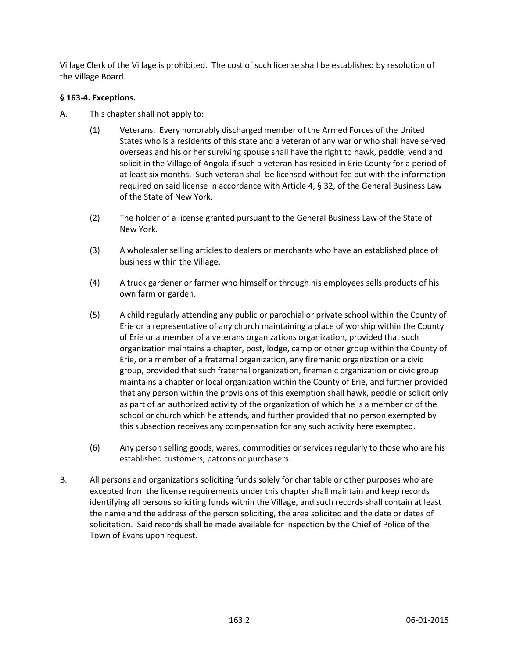Village Clerk of the Village is prohibited. The cost of such license shall be established by resolution of the Village Board.

# **§ 163-4. Exceptions.**

- A. This chapter shall not apply to:
	- (1) Veterans. Every honorably discharged member of the Armed Forces of the United States who is a residents of this state and a veteran of any war or who shall have served overseas and his or her surviving spouse shall have the right to hawk, peddle, vend and solicit in the Village of Angola if such a veteran has resided in Erie County for a period of at least six months. Such veteran shall be licensed without fee but with the information required on said license in accordance with Article 4, § 32, of the General Business Law of the State of New York.
	- (2) The holder of a license granted pursuant to the General Business Law of the State of New York.
	- (3) A wholesaler selling articles to dealers or merchants who have an established place of business within the Village.
	- (4) A truck gardener or farmer who himself or through his employees sells products of his own farm or garden.
	- (5) A child regularly attending any public or parochial or private school within the County of Erie or a representative of any church maintaining a place of worship within the County of Erie or a member of a veterans organizations organization, provided that such organization maintains a chapter, post, lodge, camp or other group within the County of Erie, or a member of a fraternal organization, any firemanic organization or a civic group, provided that such fraternal organization, firemanic organization or civic group maintains a chapter or local organization within the County of Erie, and further provided that any person within the provisions of this exemption shall hawk, peddle or solicit only as part of an authorized activity of the organization of which he is a member or of the school or church which he attends, and further provided that no person exempted by this subsection receives any compensation for any such activity here exempted.
	- (6) Any person selling goods, wares, commodities or services regularly to those who are his established customers, patrons or purchasers.
- B. All persons and organizations soliciting funds solely for charitable or other purposes who are excepted from the license requirements under this chapter shall maintain and keep records identifying all persons soliciting funds within the Village, and such records shall contain at least the name and the address of the person soliciting, the area solicited and the date or dates of solicitation. Said records shall be made available for inspection by the Chief of Police of the Town of Evans upon request.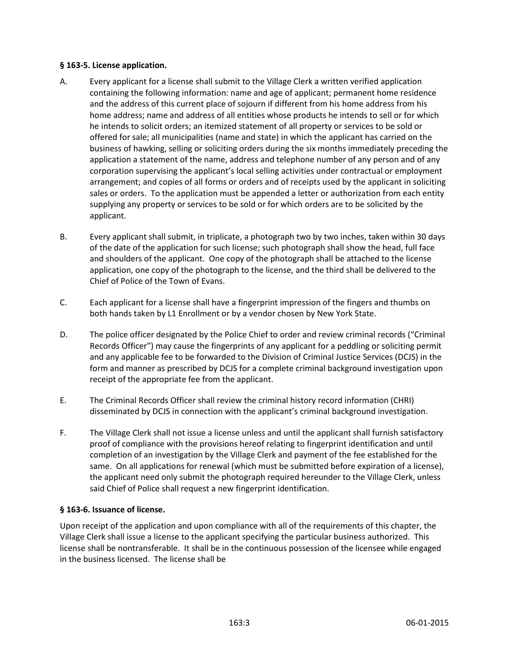#### **§ 163-5. License application.**

- A. Every applicant for a license shall submit to the Village Clerk a written verified application containing the following information: name and age of applicant; permanent home residence and the address of this current place of sojourn if different from his home address from his home address; name and address of all entities whose products he intends to sell or for which he intends to solicit orders; an itemized statement of all property or services to be sold or offered for sale; all municipalities (name and state) in which the applicant has carried on the business of hawking, selling or soliciting orders during the six months immediately preceding the application a statement of the name, address and telephone number of any person and of any corporation supervising the applicant's local selling activities under contractual or employment arrangement; and copies of all forms or orders and of receipts used by the applicant in soliciting sales or orders. To the application must be appended a letter or authorization from each entity supplying any property or services to be sold or for which orders are to be solicited by the applicant.
- B. Every applicant shall submit, in triplicate, a photograph two by two inches, taken within 30 days of the date of the application for such license; such photograph shall show the head, full face and shoulders of the applicant. One copy of the photograph shall be attached to the license application, one copy of the photograph to the license, and the third shall be delivered to the Chief of Police of the Town of Evans.
- C. Each applicant for a license shall have a fingerprint impression of the fingers and thumbs on both hands taken by L1 Enrollment or by a vendor chosen by New York State.
- D. The police officer designated by the Police Chief to order and review criminal records ("Criminal Records Officer") may cause the fingerprints of any applicant for a peddling or soliciting permit and any applicable fee to be forwarded to the Division of Criminal Justice Services (DCJS) in the form and manner as prescribed by DCJS for a complete criminal background investigation upon receipt of the appropriate fee from the applicant.
- E. The Criminal Records Officer shall review the criminal history record information (CHRI) disseminated by DCJS in connection with the applicant's criminal background investigation.
- F. The Village Clerk shall not issue a license unless and until the applicant shall furnish satisfactory proof of compliance with the provisions hereof relating to fingerprint identification and until completion of an investigation by the Village Clerk and payment of the fee established for the same. On all applications for renewal (which must be submitted before expiration of a license), the applicant need only submit the photograph required hereunder to the Village Clerk, unless said Chief of Police shall request a new fingerprint identification.

#### **§ 163-6. Issuance of license.**

Upon receipt of the application and upon compliance with all of the requirements of this chapter, the Village Clerk shall issue a license to the applicant specifying the particular business authorized. This license shall be nontransferable. It shall be in the continuous possession of the licensee while engaged in the business licensed. The license shall be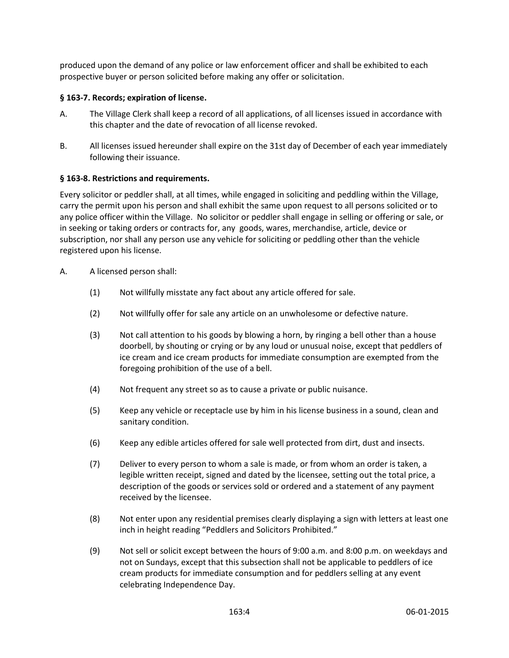produced upon the demand of any police or law enforcement officer and shall be exhibited to each prospective buyer or person solicited before making any offer or solicitation.

## **§ 163-7. Records; expiration of license.**

- A. The Village Clerk shall keep a record of all applications, of all licenses issued in accordance with this chapter and the date of revocation of all license revoked.
- B. All licenses issued hereunder shall expire on the 31st day of December of each year immediately following their issuance.

#### **§ 163-8. Restrictions and requirements.**

Every solicitor or peddler shall, at all times, while engaged in soliciting and peddling within the Village, carry the permit upon his person and shall exhibit the same upon request to all persons solicited or to any police officer within the Village. No solicitor or peddler shall engage in selling or offering or sale, or in seeking or taking orders or contracts for, any goods, wares, merchandise, article, device or subscription, nor shall any person use any vehicle for soliciting or peddling other than the vehicle registered upon his license.

- A. A licensed person shall:
	- (1) Not willfully misstate any fact about any article offered for sale.
	- (2) Not willfully offer for sale any article on an unwholesome or defective nature.
	- (3) Not call attention to his goods by blowing a horn, by ringing a bell other than a house doorbell, by shouting or crying or by any loud or unusual noise, except that peddlers of ice cream and ice cream products for immediate consumption are exempted from the foregoing prohibition of the use of a bell.
	- (4) Not frequent any street so as to cause a private or public nuisance.
	- (5) Keep any vehicle or receptacle use by him in his license business in a sound, clean and sanitary condition.
	- (6) Keep any edible articles offered for sale well protected from dirt, dust and insects.
	- (7) Deliver to every person to whom a sale is made, or from whom an order is taken, a legible written receipt, signed and dated by the licensee, setting out the total price, a description of the goods or services sold or ordered and a statement of any payment received by the licensee.
	- (8) Not enter upon any residential premises clearly displaying a sign with letters at least one inch in height reading "Peddlers and Solicitors Prohibited."
	- (9) Not sell or solicit except between the hours of 9:00 a.m. and 8:00 p.m. on weekdays and not on Sundays, except that this subsection shall not be applicable to peddlers of ice cream products for immediate consumption and for peddlers selling at any event celebrating Independence Day.